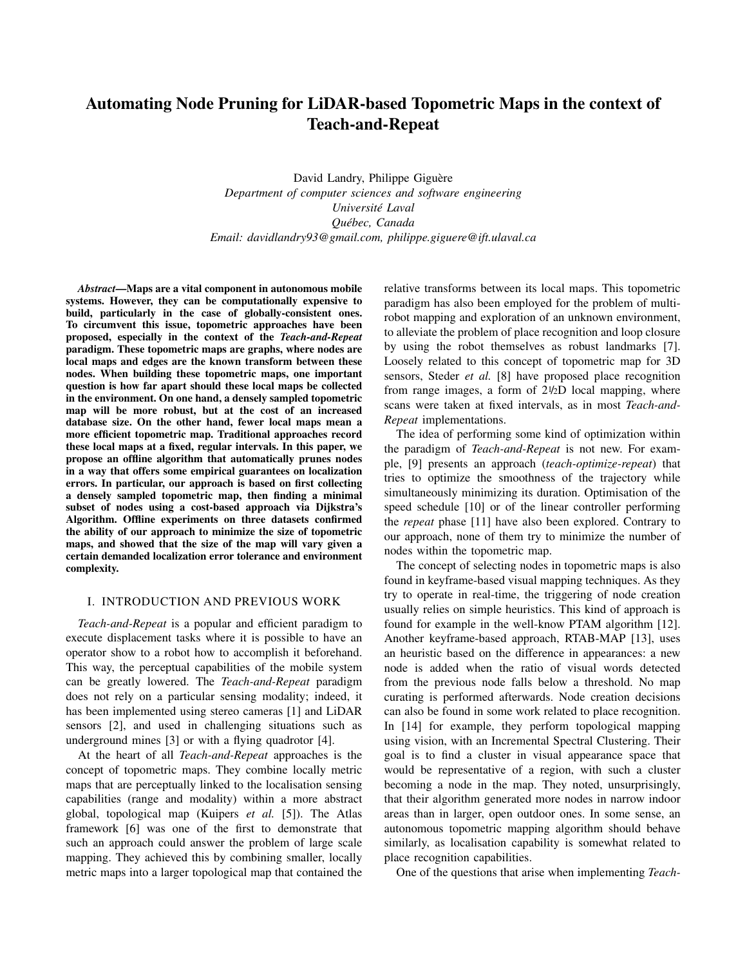# Automating Node Pruning for LiDAR-based Topometric Maps in the context of Teach-and-Repeat

David Landry, Philippe Giguère *Department of computer sciences and software engineering Université Laval Québec, Canada Email: davidlandry93@gmail.com, philippe.giguere@ift.ulaval.ca*

*Abstract*—Maps are a vital component in autonomous mobile systems. However, they can be computationally expensive to build, particularly in the case of globally-consistent ones. To circumvent this issue, topometric approaches have been proposed, especially in the context of the *Teach-and-Repeat* paradigm. These topometric maps are graphs, where nodes are local maps and edges are the known transform between these nodes. When building these topometric maps, one important question is how far apart should these local maps be collected in the environment. On one hand, a densely sampled topometric map will be more robust, but at the cost of an increased database size. On the other hand, fewer local maps mean a more efficient topometric map. Traditional approaches record these local maps at a fixed, regular intervals. In this paper, we propose an offline algorithm that automatically prunes nodes in a way that offers some empirical guarantees on localization errors. In particular, our approach is based on first collecting a densely sampled topometric map, then finding a minimal subset of nodes using a cost-based approach via Dijkstra's Algorithm. Offline experiments on three datasets confirmed the ability of our approach to minimize the size of topometric maps, and showed that the size of the map will vary given a certain demanded localization error tolerance and environment complexity.

#### I. INTRODUCTION AND PREVIOUS WORK

*Teach-and-Repeat* is a popular and efficient paradigm to execute displacement tasks where it is possible to have an operator show to a robot how to accomplish it beforehand. This way, the perceptual capabilities of the mobile system can be greatly lowered. The *Teach-and-Repeat* paradigm does not rely on a particular sensing modality; indeed, it has been implemented using stereo cameras [1] and LiDAR sensors [2], and used in challenging situations such as underground mines [3] or with a flying quadrotor [4].

At the heart of all *Teach-and-Repeat* approaches is the concept of topometric maps. They combine locally metric maps that are perceptually linked to the localisation sensing capabilities (range and modality) within a more abstract global, topological map (Kuipers *et al.* [5]). The Atlas framework [6] was one of the first to demonstrate that such an approach could answer the problem of large scale mapping. They achieved this by combining smaller, locally metric maps into a larger topological map that contained the relative transforms between its local maps. This topometric paradigm has also been employed for the problem of multirobot mapping and exploration of an unknown environment, to alleviate the problem of place recognition and loop closure by using the robot themselves as robust landmarks [7]. Loosely related to this concept of topometric map for 3D sensors, Steder *et al.* [8] have proposed place recognition from range images, a form of  $2\frac{1}{2}D$  local mapping, where scans were taken at fixed intervals, as in most *Teach-and-Repeat* implementations.

The idea of performing some kind of optimization within the paradigm of *Teach-and-Repeat* is not new. For example, [9] presents an approach (*teach-optimize-repeat*) that tries to optimize the smoothness of the trajectory while simultaneously minimizing its duration. Optimisation of the speed schedule [10] or of the linear controller performing the *repeat* phase [11] have also been explored. Contrary to our approach, none of them try to minimize the number of nodes within the topometric map.

The concept of selecting nodes in topometric maps is also found in keyframe-based visual mapping techniques. As they try to operate in real-time, the triggering of node creation usually relies on simple heuristics. This kind of approach is found for example in the well-know PTAM algorithm [12]. Another keyframe-based approach, RTAB-MAP [13], uses an heuristic based on the difference in appearances: a new node is added when the ratio of visual words detected from the previous node falls below a threshold. No map curating is performed afterwards. Node creation decisions can also be found in some work related to place recognition. In [14] for example, they perform topological mapping using vision, with an Incremental Spectral Clustering. Their goal is to find a cluster in visual appearance space that would be representative of a region, with such a cluster becoming a node in the map. They noted, unsurprisingly, that their algorithm generated more nodes in narrow indoor areas than in larger, open outdoor ones. In some sense, an autonomous topometric mapping algorithm should behave similarly, as localisation capability is somewhat related to place recognition capabilities.

One of the questions that arise when implementing *Teach-*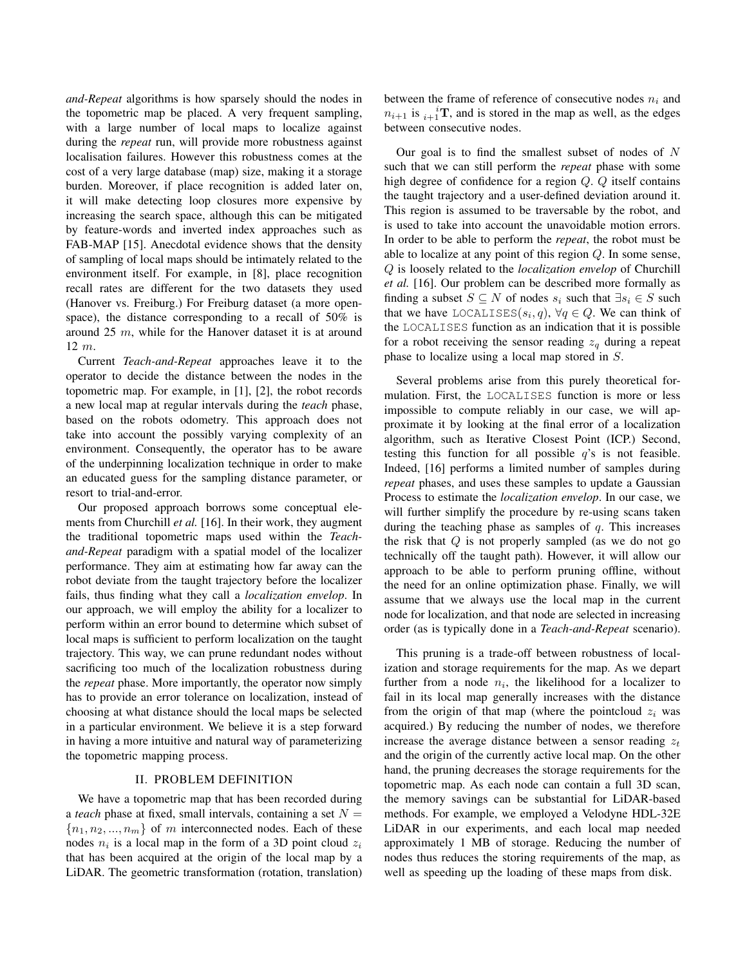*and-Repeat* algorithms is how sparsely should the nodes in the topometric map be placed. A very frequent sampling, with a large number of local maps to localize against during the *repeat* run, will provide more robustness against localisation failures. However this robustness comes at the cost of a very large database (map) size, making it a storage burden. Moreover, if place recognition is added later on, it will make detecting loop closures more expensive by increasing the search space, although this can be mitigated by feature-words and inverted index approaches such as FAB-MAP [15]. Anecdotal evidence shows that the density of sampling of local maps should be intimately related to the environment itself. For example, in [8], place recognition recall rates are different for the two datasets they used (Hanover vs. Freiburg.) For Freiburg dataset (a more openspace), the distance corresponding to a recall of 50% is around 25 m, while for the Hanover dataset it is at around 12 m.

Current *Teach-and-Repeat* approaches leave it to the operator to decide the distance between the nodes in the topometric map. For example, in [1], [2], the robot records a new local map at regular intervals during the *teach* phase, based on the robots odometry. This approach does not take into account the possibly varying complexity of an environment. Consequently, the operator has to be aware of the underpinning localization technique in order to make an educated guess for the sampling distance parameter, or resort to trial-and-error.

Our proposed approach borrows some conceptual elements from Churchill *et al.* [16]. In their work, they augment the traditional topometric maps used within the *Teachand-Repeat* paradigm with a spatial model of the localizer performance. They aim at estimating how far away can the robot deviate from the taught trajectory before the localizer fails, thus finding what they call a *localization envelop*. In our approach, we will employ the ability for a localizer to perform within an error bound to determine which subset of local maps is sufficient to perform localization on the taught trajectory. This way, we can prune redundant nodes without sacrificing too much of the localization robustness during the *repeat* phase. More importantly, the operator now simply has to provide an error tolerance on localization, instead of choosing at what distance should the local maps be selected in a particular environment. We believe it is a step forward in having a more intuitive and natural way of parameterizing the topometric mapping process.

# II. PROBLEM DEFINITION

We have a topometric map that has been recorded during a *teach* phase at fixed, small intervals, containing a set  $N =$  ${n_1, n_2, ..., n_m}$  of m interconnected nodes. Each of these nodes  $n_i$  is a local map in the form of a 3D point cloud  $z_i$ that has been acquired at the origin of the local map by a LiDAR. The geometric transformation (rotation, translation) between the frame of reference of consecutive nodes  $n_i$  and  $n_{i+1}$  is  $i \in \{1, 1, 1\}$  and is stored in the map as well, as the edges between consecutive nodes.

Our goal is to find the smallest subset of nodes of  $N$ such that we can still perform the *repeat* phase with some high degree of confidence for a region Q. Q itself contains the taught trajectory and a user-defined deviation around it. This region is assumed to be traversable by the robot, and is used to take into account the unavoidable motion errors. In order to be able to perform the *repeat*, the robot must be able to localize at any point of this region Q. In some sense, Q is loosely related to the *localization envelop* of Churchill *et al.* [16]. Our problem can be described more formally as finding a subset  $S \subseteq N$  of nodes  $s_i$  such that  $\exists s_i \in S$  such that we have LOCALISES $(s_i, q)$ ,  $\forall q \in Q$ . We can think of the LOCALISES function as an indication that it is possible for a robot receiving the sensor reading  $z_q$  during a repeat phase to localize using a local map stored in S.

Several problems arise from this purely theoretical formulation. First, the LOCALISES function is more or less impossible to compute reliably in our case, we will approximate it by looking at the final error of a localization algorithm, such as Iterative Closest Point (ICP.) Second, testing this function for all possible  $q$ 's is not feasible. Indeed, [16] performs a limited number of samples during *repeat* phases, and uses these samples to update a Gaussian Process to estimate the *localization envelop*. In our case, we will further simplify the procedure by re-using scans taken during the teaching phase as samples of  $q$ . This increases the risk that  $Q$  is not properly sampled (as we do not go technically off the taught path). However, it will allow our approach to be able to perform pruning offline, without the need for an online optimization phase. Finally, we will assume that we always use the local map in the current node for localization, and that node are selected in increasing order (as is typically done in a *Teach-and-Repeat* scenario).

This pruning is a trade-off between robustness of localization and storage requirements for the map. As we depart further from a node  $n_i$ , the likelihood for a localizer to fail in its local map generally increases with the distance from the origin of that map (where the pointcloud  $z_i$  was acquired.) By reducing the number of nodes, we therefore increase the average distance between a sensor reading  $z_t$ and the origin of the currently active local map. On the other hand, the pruning decreases the storage requirements for the topometric map. As each node can contain a full 3D scan, the memory savings can be substantial for LiDAR-based methods. For example, we employed a Velodyne HDL-32E LiDAR in our experiments, and each local map needed approximately 1 MB of storage. Reducing the number of nodes thus reduces the storing requirements of the map, as well as speeding up the loading of these maps from disk.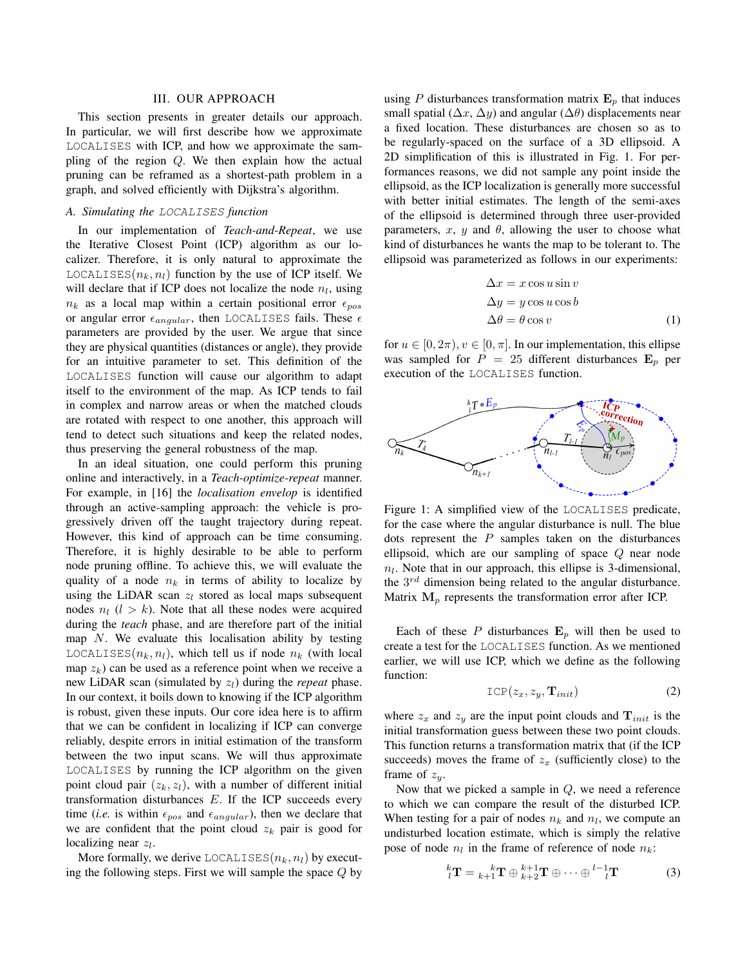#### III. OUR APPROACH

This section presents in greater details our approach. In particular, we will first describe how we approximate LOCALISES with ICP, and how we approximate the sampling of the region Q. We then explain how the actual pruning can be reframed as a shortest-path problem in a graph, and solved efficiently with Dijkstra's algorithm.

#### *A. Simulating the* LOCALISES *function*

In our implementation of *Teach-and-Repeat*, we use the Iterative Closest Point (ICP) algorithm as our localizer. Therefore, it is only natural to approximate the LOCALISES $(n_k, n_l)$  function by the use of ICP itself. We will declare that if ICP does not localize the node  $n_l$ , using  $n_k$  as a local map within a certain positional error  $\epsilon_{pos}$ or angular error  $\epsilon_{angular}$ , then LOCALISES fails. These  $\epsilon$ parameters are provided by the user. We argue that since they are physical quantities (distances or angle), they provide for an intuitive parameter to set. This definition of the LOCALISES function will cause our algorithm to adapt itself to the environment of the map. As ICP tends to fail in complex and narrow areas or when the matched clouds are rotated with respect to one another, this approach will tend to detect such situations and keep the related nodes, thus preserving the general robustness of the map.

In an ideal situation, one could perform this pruning online and interactively, in a *Teach-optimize-repeat* manner. For example, in [16] the *localisation envelop* is identified through an active-sampling approach: the vehicle is progressively driven off the taught trajectory during repeat. However, this kind of approach can be time consuming. Therefore, it is highly desirable to be able to perform node pruning offline. To achieve this, we will evaluate the quality of a node  $n_k$  in terms of ability to localize by using the LiDAR scan  $z_l$  stored as local maps subsequent nodes  $n_l$  ( $l > k$ ). Note that all these nodes were acquired during the *teach* phase, and are therefore part of the initial map  $N$ . We evaluate this localisation ability by testing LOCALISES $(n_k, n_l)$ , which tell us if node  $n_k$  (with local map  $z_k$ ) can be used as a reference point when we receive a new LiDAR scan (simulated by  $z_l$ ) during the *repeat* phase. In our context, it boils down to knowing if the ICP algorithm is robust, given these inputs. Our core idea here is to affirm that we can be confident in localizing if ICP can converge reliably, despite errors in initial estimation of the transform between the two input scans. We will thus approximate LOCALISES by running the ICP algorithm on the given point cloud pair  $(z_k, z_l)$ , with a number of different initial transformation disturbances  $E$ . If the ICP succeeds every time (*i.e.* is within  $\epsilon_{pos}$  and  $\epsilon_{angular}$ ), then we declare that we are confident that the point cloud  $z_k$  pair is good for localizing near  $z_l$ .

More formally, we derive LOCALISES $(n_k, n_l)$  by executing the following steps. First we will sample the space  $Q$  by using P disturbances transformation matrix  $\mathbf{E}_p$  that induces small spatial ( $\Delta x$ ,  $\Delta y$ ) and angular ( $\Delta \theta$ ) displacements near a fixed location. These disturbances are chosen so as to be regularly-spaced on the surface of a 3D ellipsoid. A 2D simplification of this is illustrated in Fig. 1. For performances reasons, we did not sample any point inside the ellipsoid, as the ICP localization is generally more successful with better initial estimates. The length of the semi-axes of the ellipsoid is determined through three user-provided parameters,  $x$ ,  $y$  and  $\theta$ , allowing the user to choose what kind of disturbances he wants the map to be tolerant to. The ellipsoid was parameterized as follows in our experiments:

$$
\Delta x = x \cos u \sin v
$$
  
\n
$$
\Delta y = y \cos u \cos b
$$
  
\n
$$
\Delta \theta = \theta \cos v
$$
 (1)

for  $u \in [0, 2\pi)$ ,  $v \in [0, \pi]$ . In our implementation, this ellipse was sampled for  $P = 25$  different disturbances  $E_p$  per execution of the LOCALISES function.



Figure 1: A simplified view of the LOCALISES predicate, for the case where the angular disturbance is null. The blue dots represent the  $P$  samples taken on the disturbances ellipsoid, which are our sampling of space Q near node  $n_l$ . Note that in our approach, this ellipse is 3-dimensional, the  $3^{rd}$  dimension being related to the angular disturbance. Matrix  $M_p$  represents the transformation error after ICP.

Each of these P disturbances  $E_p$  will then be used to create a test for the LOCALISES function. As we mentioned earlier, we will use ICP, which we define as the following function:

$$
\text{ICP}(z_x, z_y, \mathbf{T}_{init})\tag{2}
$$

where  $z_x$  and  $z_y$  are the input point clouds and  $\mathbf{T}_{init}$  is the initial transformation guess between these two point clouds. This function returns a transformation matrix that (if the ICP succeeds) moves the frame of  $z_x$  (sufficiently close) to the frame of  $z_y$ .

Now that we picked a sample in  $Q$ , we need a reference to which we can compare the result of the disturbed ICP. When testing for a pair of nodes  $n_k$  and  $n_l$ , we compute an undisturbed location estimate, which is simply the relative pose of node  $n_l$  in the frame of reference of node  $n_k$ :

$$
{}_{l}^{k}\mathbf{T} = {}_{k+1}^{k}\mathbf{T} \oplus {}_{k+2}^{k+1}\mathbf{T} \oplus \cdots \oplus {}_{l}^{l-1}\mathbf{T}
$$
 (3)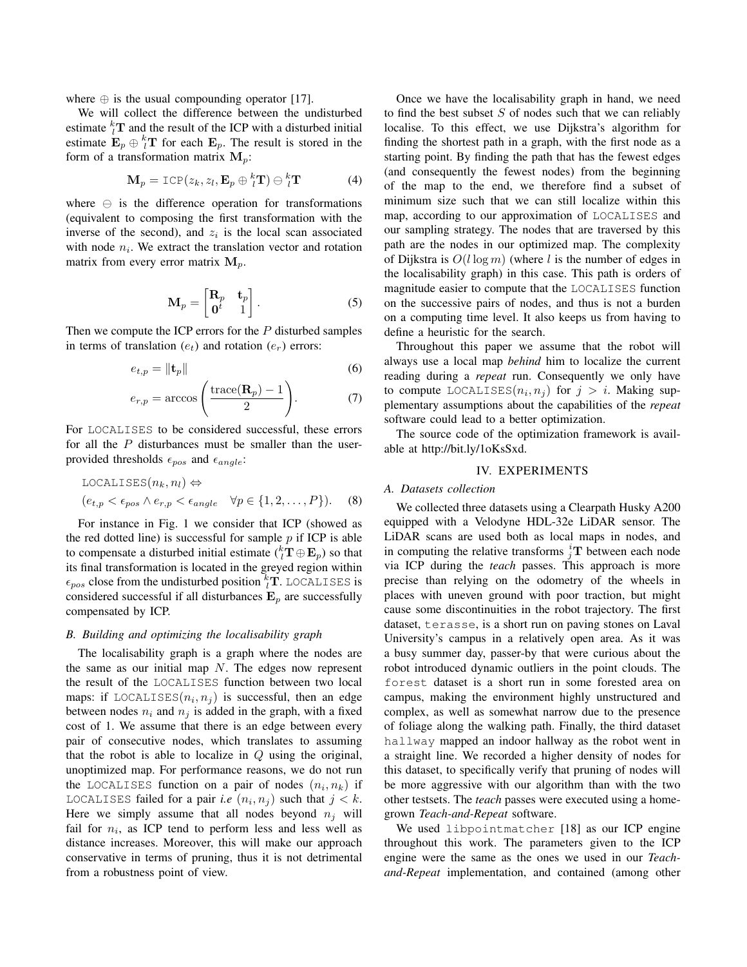where  $\oplus$  is the usual compounding operator [17].

We will collect the difference between the undisturbed estimate  ${}_{l}^{k}T$  and the result of the ICP with a disturbed initial estimate  $\mathbf{E}_p \oplus {}_{l}^{k} \mathbf{T}$  for each  $\mathbf{E}_p$ . The result is stored in the form of a transformation matrix  $M_p$ :

$$
\mathbf{M}_p = \text{ICP}(z_k, z_l, \mathbf{E}_p \oplus {}_{l}^{k} \mathbf{T}) \ominus {}_{l}^{k} \mathbf{T}
$$
 (4)

where  $\ominus$  is the difference operation for transformations (equivalent to composing the first transformation with the inverse of the second), and  $z_i$  is the local scan associated with node  $n_i$ . We extract the translation vector and rotation matrix from every error matrix  $M_p$ .

$$
\mathbf{M}_p = \begin{bmatrix} \mathbf{R}_p & \mathbf{t}_p \\ \mathbf{0}^t & 1 \end{bmatrix} . \tag{5}
$$

Then we compute the ICP errors for the P disturbed samples in terms of translation  $(e_t)$  and rotation  $(e_r)$  errors:

$$
e_{t,p} = \|\mathbf{t}_p\| \tag{6}
$$

$$
e_{r,p} = \arccos\left(\frac{\text{trace}(\mathbf{R}_p) - 1}{2}\right). \tag{7}
$$

For LOCALISES to be considered successful, these errors for all the  $P$  disturbances must be smaller than the userprovided thresholds  $\epsilon_{pos}$  and  $\epsilon_{angle}$ :

$$
LOGALISES(n_k, n_l) \Leftrightarrow
$$
  
\n
$$
(e_{t,p} < \epsilon_{pos} \land e_{r,p} < \epsilon_{angle} \quad \forall p \in \{1, 2, ..., P\}).
$$
 (8)

For instance in Fig. 1 we consider that ICP (showed as the red dotted line) is successful for sample  $p$  if ICP is able to compensate a disturbed initial estimate  $({}^{k}_{l}\mathbf{T} \oplus \mathbf{E}_{p})$  so that its final transformation is located in the greyed region within  $\epsilon_{pos}$  close from the undisturbed position  $\frac{k}{l}$ **T**. LOCALISES is considered successful if all disturbances  $E_p$  are successfully compensated by ICP.

#### *B. Building and optimizing the localisability graph*

The localisability graph is a graph where the nodes are the same as our initial map  $N$ . The edges now represent the result of the LOCALISES function between two local maps: if LOCALISES $(n_i, n_j)$  is successful, then an edge between nodes  $n_i$  and  $n_j$  is added in the graph, with a fixed cost of 1. We assume that there is an edge between every pair of consecutive nodes, which translates to assuming that the robot is able to localize in  $Q$  using the original, unoptimized map. For performance reasons, we do not run the LOCALISES function on a pair of nodes  $(n_i, n_k)$  if LOCALISES failed for a pair *i.e*  $(n_i, n_j)$  such that  $j < k$ . Here we simply assume that all nodes beyond  $n_i$  will fail for  $n_i$ , as ICP tend to perform less and less well as distance increases. Moreover, this will make our approach conservative in terms of pruning, thus it is not detrimental from a robustness point of view.

Once we have the localisability graph in hand, we need to find the best subset  $S$  of nodes such that we can reliably localise. To this effect, we use Dijkstra's algorithm for finding the shortest path in a graph, with the first node as a starting point. By finding the path that has the fewest edges (and consequently the fewest nodes) from the beginning of the map to the end, we therefore find a subset of minimum size such that we can still localize within this map, according to our approximation of LOCALISES and our sampling strategy. The nodes that are traversed by this path are the nodes in our optimized map. The complexity of Dijkstra is  $O(l \log m)$  (where l is the number of edges in the localisability graph) in this case. This path is orders of magnitude easier to compute that the LOCALISES function on the successive pairs of nodes, and thus is not a burden on a computing time level. It also keeps us from having to define a heuristic for the search.

Throughout this paper we assume that the robot will always use a local map *behind* him to localize the current reading during a *repeat* run. Consequently we only have to compute LOCALISES $(n_i, n_j)$  for  $j > i$ . Making supplementary assumptions about the capabilities of the *repeat* software could lead to a better optimization.

The source code of the optimization framework is available at http://bit.ly/1oKsSxd.

#### IV. EXPERIMENTS

### *A. Datasets collection*

We collected three datasets using a Clearpath Husky A200 equipped with a Velodyne HDL-32e LiDAR sensor. The LiDAR scans are used both as local maps in nodes, and in computing the relative transforms  $^i_j$ **T** between each node via ICP during the *teach* passes. This approach is more precise than relying on the odometry of the wheels in places with uneven ground with poor traction, but might cause some discontinuities in the robot trajectory. The first dataset, terasse, is a short run on paving stones on Laval University's campus in a relatively open area. As it was a busy summer day, passer-by that were curious about the robot introduced dynamic outliers in the point clouds. The forest dataset is a short run in some forested area on campus, making the environment highly unstructured and complex, as well as somewhat narrow due to the presence of foliage along the walking path. Finally, the third dataset hallway mapped an indoor hallway as the robot went in a straight line. We recorded a higher density of nodes for this dataset, to specifically verify that pruning of nodes will be more aggressive with our algorithm than with the two other testsets. The *teach* passes were executed using a homegrown *Teach-and-Repeat* software.

We used libpointmatcher [18] as our ICP engine throughout this work. The parameters given to the ICP engine were the same as the ones we used in our *Teachand-Repeat* implementation, and contained (among other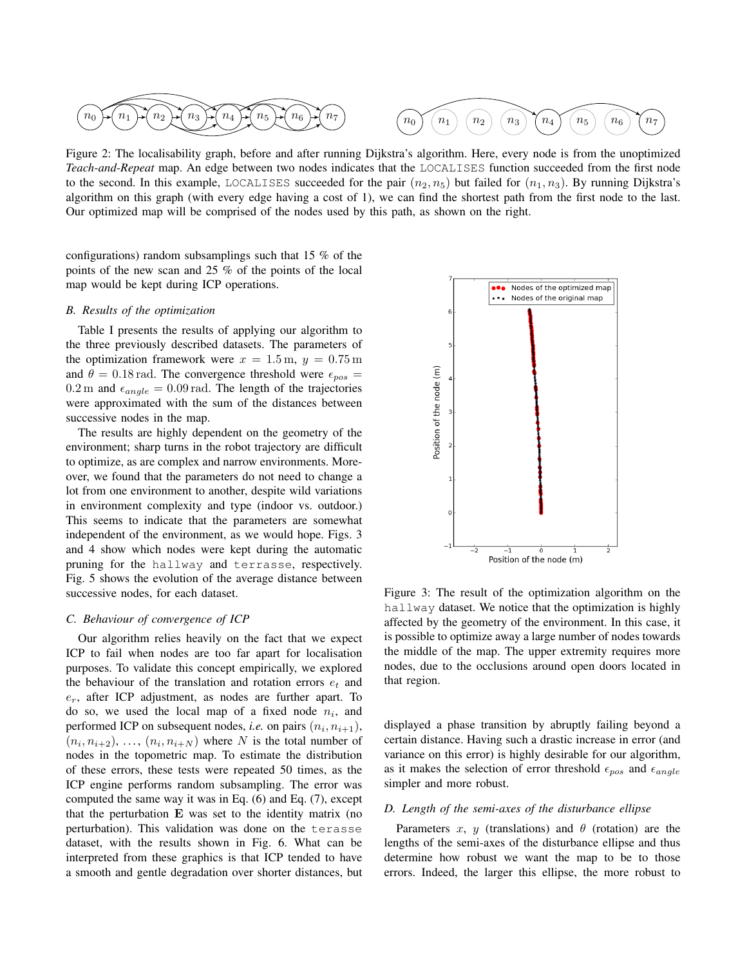



Figure 2: The localisability graph, before and after running Dijkstra's algorithm. Here, every node is from the unoptimized *Teach-and-Repeat* map. An edge between two nodes indicates that the LOCALISES function succeeded from the first node to the second. In this example, LOCALISES succeeded for the pair  $(n_2, n_5)$  but failed for  $(n_1, n_3)$ . By running Dijkstra's algorithm on this graph (with every edge having a cost of 1), we can find the shortest path from the first node to the last. Our optimized map will be comprised of the nodes used by this path, as shown on the right.

configurations) random subsamplings such that 15 % of the points of the new scan and 25 % of the points of the local map would be kept during ICP operations.

#### *B. Results of the optimization*

Table I presents the results of applying our algorithm to the three previously described datasets. The parameters of the optimization framework were  $x = 1.5$  m,  $y = 0.75$  m and  $\theta = 0.18$  rad. The convergence threshold were  $\epsilon_{pos}$  =  $0.2 \text{ m}$  and  $\epsilon_{angle} = 0.09 \text{ rad}$ . The length of the trajectories were approximated with the sum of the distances between successive nodes in the map.

The results are highly dependent on the geometry of the environment; sharp turns in the robot trajectory are difficult to optimize, as are complex and narrow environments. Moreover, we found that the parameters do not need to change a lot from one environment to another, despite wild variations in environment complexity and type (indoor vs. outdoor.) This seems to indicate that the parameters are somewhat independent of the environment, as we would hope. Figs. 3 and 4 show which nodes were kept during the automatic pruning for the hallway and terrasse, respectively. Fig. 5 shows the evolution of the average distance between successive nodes, for each dataset.

#### *C. Behaviour of convergence of ICP*

Our algorithm relies heavily on the fact that we expect ICP to fail when nodes are too far apart for localisation purposes. To validate this concept empirically, we explored the behaviour of the translation and rotation errors  $e_t$  and  $e_r$ , after ICP adjustment, as nodes are further apart. To do so, we used the local map of a fixed node  $n_i$ , and performed ICP on subsequent nodes, *i.e.* on pairs  $(n_i, n_{i+1})$ ,  $(n_i, n_{i+2}), \ldots, (n_i, n_{i+N})$  where N is the total number of nodes in the topometric map. To estimate the distribution of these errors, these tests were repeated 50 times, as the ICP engine performs random subsampling. The error was computed the same way it was in Eq. (6) and Eq. (7), except that the perturbation E was set to the identity matrix (no perturbation). This validation was done on the terasse dataset, with the results shown in Fig. 6. What can be interpreted from these graphics is that ICP tended to have a smooth and gentle degradation over shorter distances, but



Figure 3: The result of the optimization algorithm on the hallway dataset. We notice that the optimization is highly affected by the geometry of the environment. In this case, it is possible to optimize away a large number of nodes towards the middle of the map. The upper extremity requires more nodes, due to the occlusions around open doors located in that region.

displayed a phase transition by abruptly failing beyond a certain distance. Having such a drastic increase in error (and variance on this error) is highly desirable for our algorithm, as it makes the selection of error threshold  $\epsilon_{pos}$  and  $\epsilon_{anale}$ simpler and more robust.

# *D. Length of the semi-axes of the disturbance ellipse*

Parameters x, y (translations) and  $\theta$  (rotation) are the lengths of the semi-axes of the disturbance ellipse and thus determine how robust we want the map to be to those errors. Indeed, the larger this ellipse, the more robust to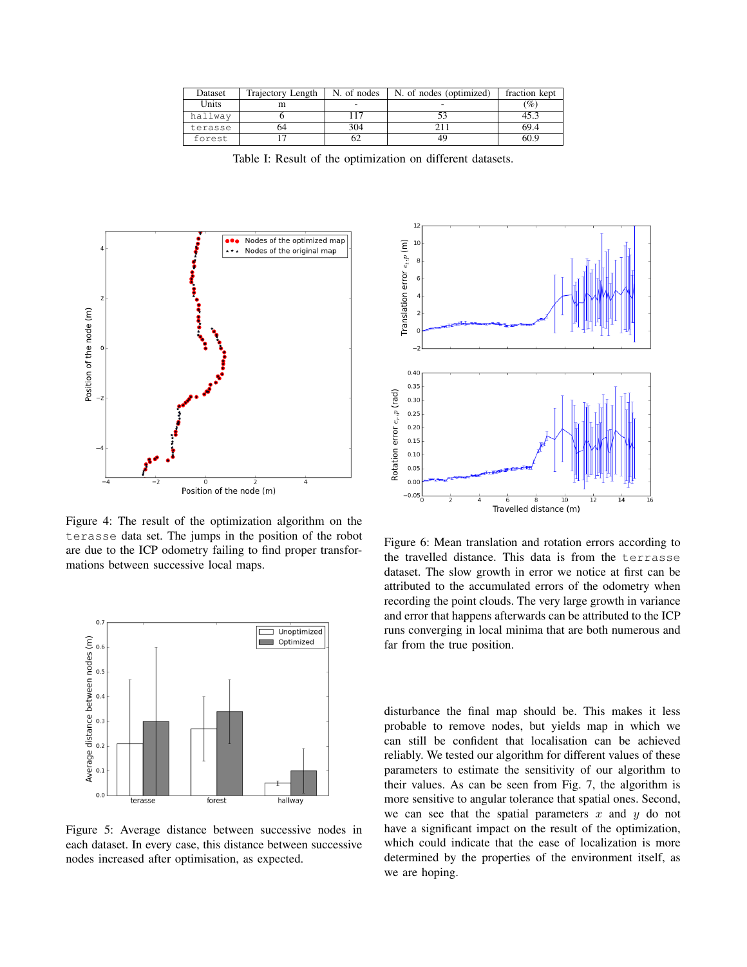| Dataset | Trajectory Length | N. of nodes | N. of nodes (optimized) | fraction kept |
|---------|-------------------|-------------|-------------------------|---------------|
| Units   |                   | -           |                         | $\%$          |
| hallway |                   |             |                         | 45.3          |
| terasse |                   | 304         |                         | 69.4          |
| forest  |                   |             | 49                      | 60.9          |

Table I: Result of the optimization on different datasets.



Figure 4: The result of the optimization algorithm on the terasse data set. The jumps in the position of the robot are due to the ICP odometry failing to find proper transformations between successive local maps.



Figure 5: Average distance between successive nodes in each dataset. In every case, this distance between successive nodes increased after optimisation, as expected.



Figure 6: Mean translation and rotation errors according to the travelled distance. This data is from the terrasse dataset. The slow growth in error we notice at first can be attributed to the accumulated errors of the odometry when recording the point clouds. The very large growth in variance and error that happens afterwards can be attributed to the ICP runs converging in local minima that are both numerous and far from the true position.

disturbance the final map should be. This makes it less probable to remove nodes, but yields map in which we can still be confident that localisation can be achieved reliably. We tested our algorithm for different values of these parameters to estimate the sensitivity of our algorithm to their values. As can be seen from Fig. 7, the algorithm is more sensitive to angular tolerance that spatial ones. Second, we can see that the spatial parameters  $x$  and  $y$  do not have a significant impact on the result of the optimization, which could indicate that the ease of localization is more determined by the properties of the environment itself, as we are hoping.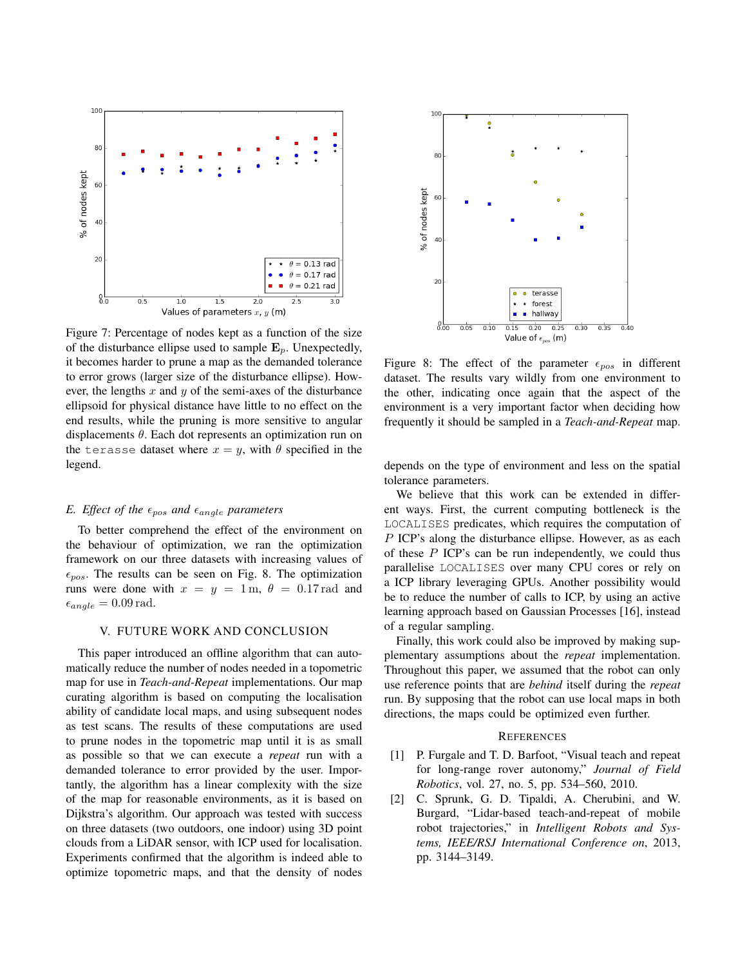

Figure 7: Percentage of nodes kept as a function of the size of the disturbance ellipse used to sample  $\mathbf{E}_p$ . Unexpectedly, it becomes harder to prune a map as the demanded tolerance to error grows (larger size of the disturbance ellipse). However, the lengths  $x$  and  $y$  of the semi-axes of the disturbance ellipsoid for physical distance have little to no effect on the end results, while the pruning is more sensitive to angular displacements  $\theta$ . Each dot represents an optimization run on the terasse dataset where  $x = y$ , with  $\theta$  specified in the legend.

# *E. Effect of the*  $\epsilon_{pos}$  *and*  $\epsilon_{angle}$  *parameters*

To better comprehend the effect of the environment on the behaviour of optimization, we ran the optimization framework on our three datasets with increasing values of  $\epsilon_{pos}$ . The results can be seen on Fig. 8. The optimization runs were done with  $x = y = 1$  m,  $\theta = 0.17$  rad and  $\epsilon_{angle} = 0.09$  rad.

# V. FUTURE WORK AND CONCLUSION

This paper introduced an offline algorithm that can automatically reduce the number of nodes needed in a topometric map for use in *Teach-and-Repeat* implementations. Our map curating algorithm is based on computing the localisation ability of candidate local maps, and using subsequent nodes as test scans. The results of these computations are used to prune nodes in the topometric map until it is as small as possible so that we can execute a *repeat* run with a demanded tolerance to error provided by the user. Importantly, the algorithm has a linear complexity with the size of the map for reasonable environments, as it is based on Dijkstra's algorithm. Our approach was tested with success on three datasets (two outdoors, one indoor) using 3D point clouds from a LiDAR sensor, with ICP used for localisation. Experiments confirmed that the algorithm is indeed able to optimize topometric maps, and that the density of nodes



Figure 8: The effect of the parameter  $\epsilon_{pos}$  in different dataset. The results vary wildly from one environment to the other, indicating once again that the aspect of the environment is a very important factor when deciding how frequently it should be sampled in a *Teach-and-Repeat* map.

depends on the type of environment and less on the spatial tolerance parameters.

We believe that this work can be extended in different ways. First, the current computing bottleneck is the LOCALISES predicates, which requires the computation of P ICP's along the disturbance ellipse. However, as as each of these  $P$  ICP's can be run independently, we could thus parallelise LOCALISES over many CPU cores or rely on a ICP library leveraging GPUs. Another possibility would be to reduce the number of calls to ICP, by using an active learning approach based on Gaussian Processes [16], instead of a regular sampling.

Finally, this work could also be improved by making supplementary assumptions about the *repeat* implementation. Throughout this paper, we assumed that the robot can only use reference points that are *behind* itself during the *repeat* run. By supposing that the robot can use local maps in both directions, the maps could be optimized even further.

#### **REFERENCES**

- [1] P. Furgale and T. D. Barfoot, "Visual teach and repeat for long-range rover autonomy," *Journal of Field Robotics*, vol. 27, no. 5, pp. 534–560, 2010.
- [2] C. Sprunk, G. D. Tipaldi, A. Cherubini, and W. Burgard, "Lidar-based teach-and-repeat of mobile robot trajectories," in *Intelligent Robots and Systems, IEEE/RSJ International Conference on*, 2013, pp. 3144–3149.